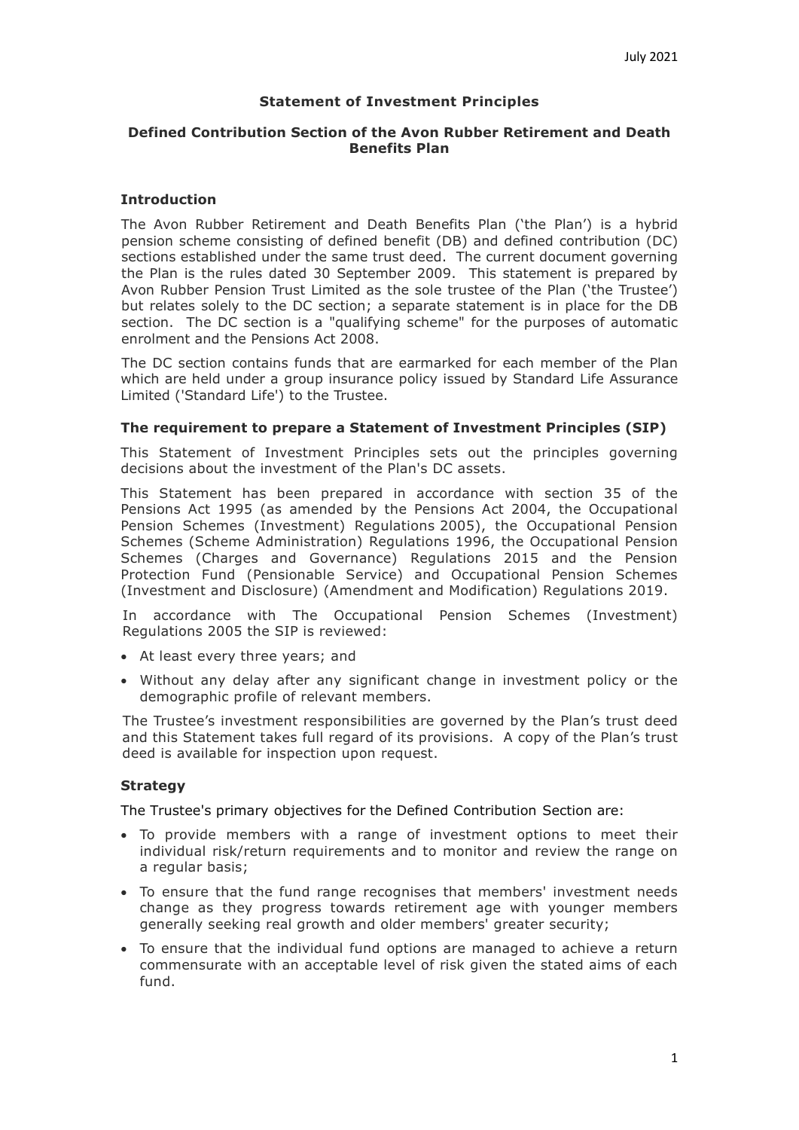## **Statement of Investment Principles**

## **Defined Contribution Section of the Avon Rubber Retirement and Death Benefits Plan**

### **Introduction**

The Avon Rubber Retirement and Death Benefits Plan ('the Plan') is a hybrid pension scheme consisting of defined benefit (DB) and defined contribution (DC) sections established under the same trust deed. The current document governing the Plan is the rules dated 30 September 2009. This statement is prepared by Avon Rubber Pension Trust Limited as the sole trustee of the Plan ('the Trustee') but relates solely to the DC section; a separate statement is in place for the DB section. The DC section is a "qualifying scheme" for the purposes of automatic enrolment and the Pensions Act 2008.

The DC section contains funds that are earmarked for each member of the Plan which are held under a group insurance policy issued by Standard Life Assurance Limited ('Standard Life') to the Trustee.

#### **The requirement to prepare a Statement of Investment Principles (SIP)**

This Statement of Investment Principles sets out the principles governing decisions about the investment of the Plan's DC assets.

This Statement has been prepared in accordance with section 35 of the Pensions Act 1995 (as amended by the Pensions Act 2004, the Occupational Pension Schemes (Investment) Regulations 2005), the Occupational Pension Schemes (Scheme Administration) Regulations 1996, the Occupational Pension Schemes (Charges and Governance) Regulations 2015 and the Pension Protection Fund (Pensionable Service) and Occupational Pension Schemes (Investment and Disclosure) (Amendment and Modification) Regulations 2019.

In accordance with The Occupational Pension Schemes (Investment) Regulations 2005 the SIP is reviewed:

- At least every three years; and
- Without any delay after any significant change in investment policy or the demographic profile of relevant members.

The Trustee's investment responsibilities are governed by the Plan's trust deed and this Statement takes full regard of its provisions. A copy of the Plan's trust deed is available for inspection upon request.

# **Strategy**

The Trustee's primary objectives for the Defined Contribution Section are:

- To provide members with a range of investment options to meet their individual risk/return requirements and to monitor and review the range on a regular basis;
- To ensure that the fund range recognises that members' investment needs change as they progress towards retirement age with younger members generally seeking real growth and older members' greater security;
- To ensure that the individual fund options are managed to achieve a return commensurate with an acceptable level of risk given the stated aims of each fund.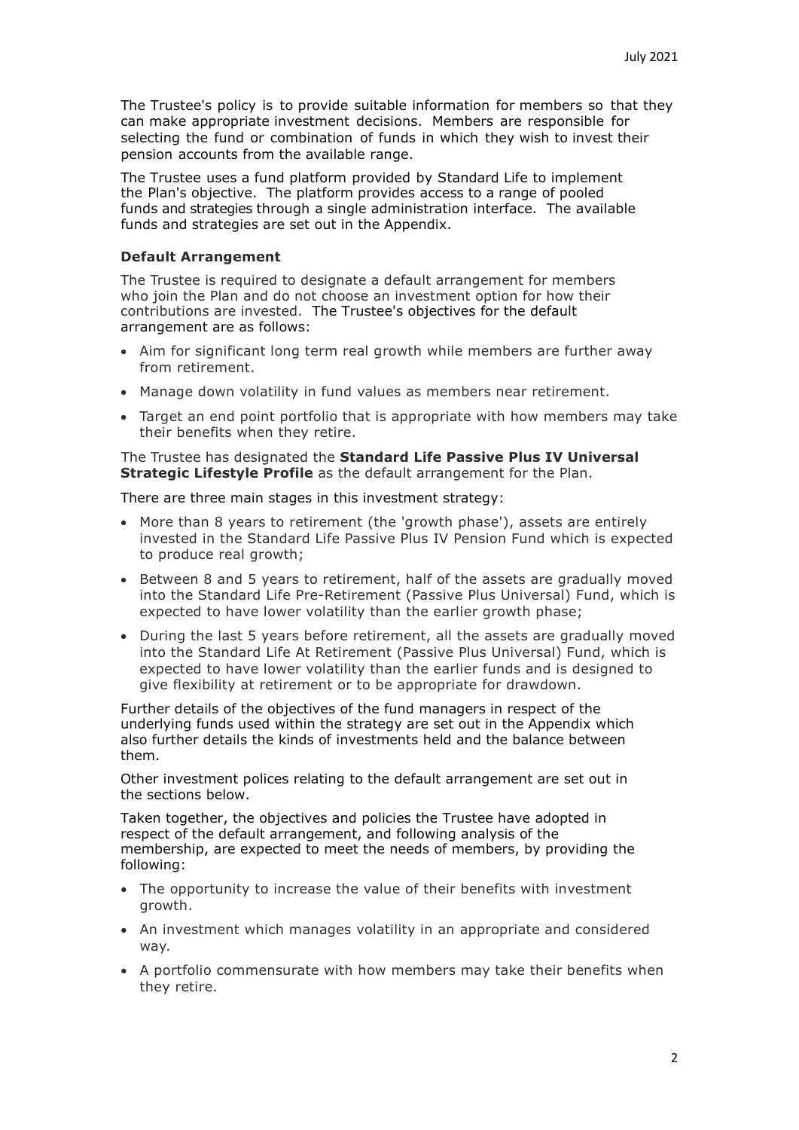The Trustee's policy is to provide suitable information for members so that they can make appropriate investment decisions. Members are responsible for selecting the fund or combination of funds in which they wish to invest their pension accounts from the available range.

The Trustee uses a fund platform provided by Standard Life to implement the Plan's objective. The platform provides access to a range of pooled funds and strategies through a single administration interface. The available funds and strategies are set out in the Appendix.

#### **Default Arrangement**

The Trustee is required to designate a default arrangement for members who join the Plan and do not choose an investment option for how their contributions are invested. The Trustee's objectives for the default arrangement are as follows:

- Aim for significant long term real growth while members are further away from retirement.
- Manage down volatility in fund values as members near retirement.
- Target an end point portfolio that is appropriate with how members may take their benefits when they retire.

The Trustee has designated the **Standard Life Passive Plus IV Universal Strategic Lifestyle Profile** as the default arrangement for the Plan.

There are three main stages in this investment strategy:

- More than 8 years to retirement (the 'growth phase'), assets are entirely invested in the Standard Life Passive Plus IV Pension Fund which is expected to produce real growth;
- Between 8 and 5 years to retirement, half of the assets are gradually moved into the Standard Life Pre-Retirement (Passive Plus Universal) Fund, which is expected to have lower volatility than the earlier growth phase;
- During the last 5 years before retirement, all the assets are gradually moved into the Standard Life At Retirement (Passive Plus Universal) Fund, which is expected to have lower volatility than the earlier funds and is designed to give flexibility at retirement or to be appropriate for drawdown.

Further details of the objectives of the fund managers in respect of the underlying funds used within the strategy are set out in the Appendix which also further details the kinds of investments held and the balance between them.

Other investment polices relating to the default arrangement are set out in the sections below.

Taken together, the objectives and policies the Trustee have adopted in respect of the default arrangement, and following analysis of the membership, are expected to meet the needs of members, by providing the following:

- The opportunity to increase the value of their benefits with investment growth.
- An investment which manages volatility in an appropriate and considered way.
- A portfolio commensurate with how members may take their benefits when they retire.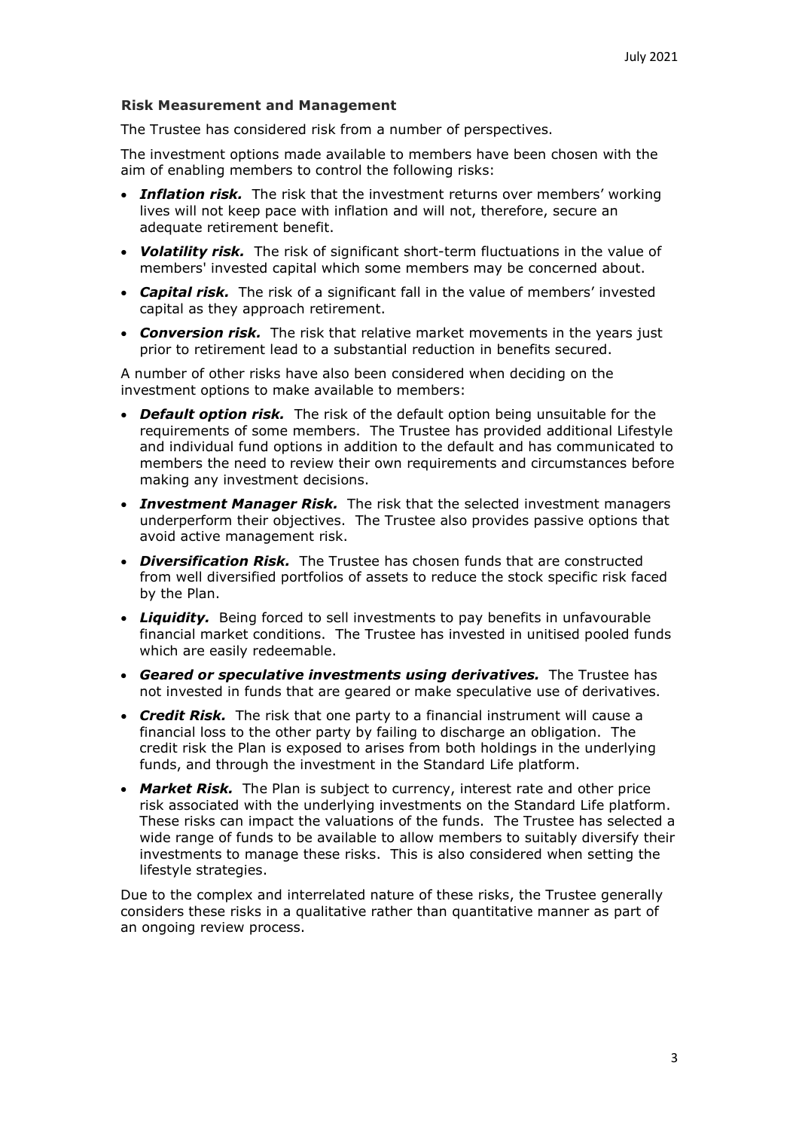### **Risk Measurement and Management**

The Trustee has considered risk from a number of perspectives.

The investment options made available to members have been chosen with the aim of enabling members to control the following risks:

- *Inflation risk.* The risk that the investment returns over members' working lives will not keep pace with inflation and will not, therefore, secure an adequate retirement benefit.
- *Volatility risk.* The risk of significant short-term fluctuations in the value of members' invested capital which some members may be concerned about.
- *Capital risk.* The risk of a significant fall in the value of members' invested capital as they approach retirement.
- *Conversion risk.* The risk that relative market movements in the years just prior to retirement lead to a substantial reduction in benefits secured.

A number of other risks have also been considered when deciding on the investment options to make available to members:

- *Default option risk.* The risk of the default option being unsuitable for the requirements of some members. The Trustee has provided additional Lifestyle and individual fund options in addition to the default and has communicated to members the need to review their own requirements and circumstances before making any investment decisions.
- *Investment Manager Risk.* The risk that the selected investment managers underperform their objectives. The Trustee also provides passive options that avoid active management risk.
- *Diversification Risk.* The Trustee has chosen funds that are constructed from well diversified portfolios of assets to reduce the stock specific risk faced by the Plan.
- *Liquidity.* Being forced to sell investments to pay benefits in unfavourable financial market conditions. The Trustee has invested in unitised pooled funds which are easily redeemable.
- *Geared or speculative investments using derivatives.* The Trustee has not invested in funds that are geared or make speculative use of derivatives.
- *Credit Risk.* The risk that one party to a financial instrument will cause a financial loss to the other party by failing to discharge an obligation. The credit risk the Plan is exposed to arises from both holdings in the underlying funds, and through the investment in the Standard Life platform.
- *Market Risk.* The Plan is subject to currency, interest rate and other price risk associated with the underlying investments on the Standard Life platform. These risks can impact the valuations of the funds. The Trustee has selected a wide range of funds to be available to allow members to suitably diversify their investments to manage these risks. This is also considered when setting the lifestyle strategies.

Due to the complex and interrelated nature of these risks, the Trustee generally considers these risks in a qualitative rather than quantitative manner as part of an ongoing review process.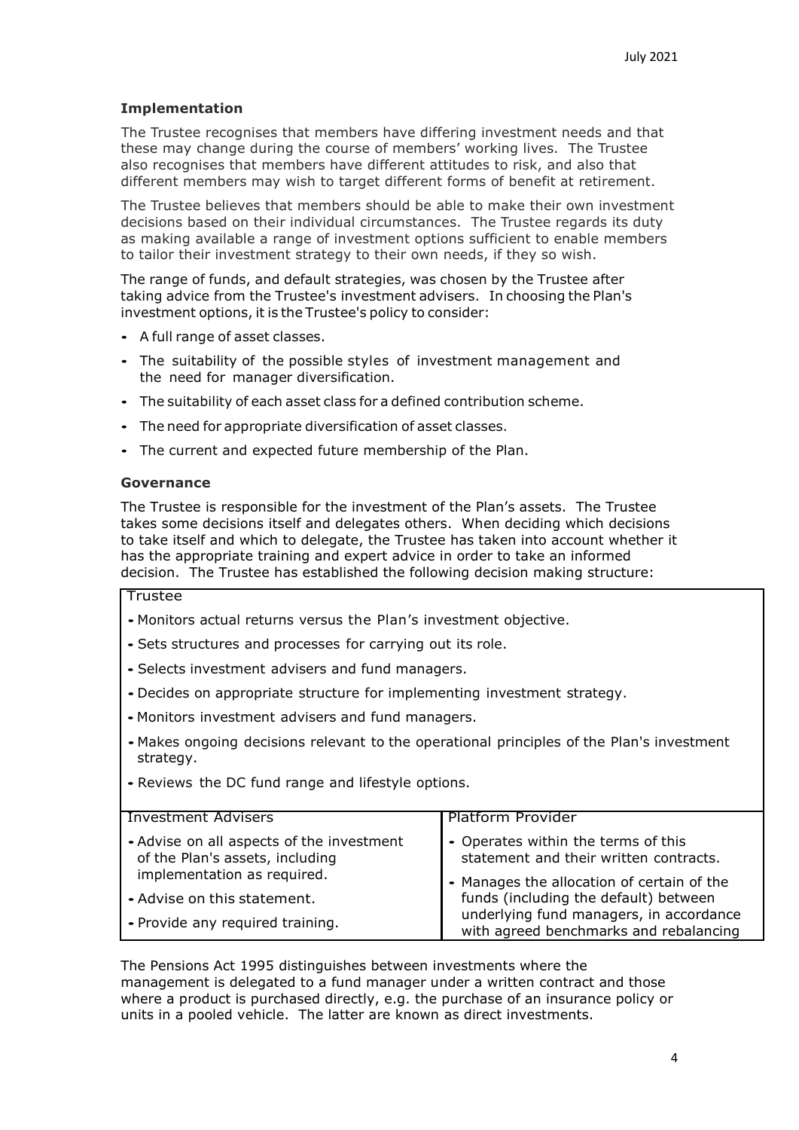# **Implementation**

The Trustee recognises that members have differing investment needs and that these may change during the course of members' working lives. The Trustee also recognises that members have different attitudes to risk, and also that different members may wish to target different forms of benefit at retirement.

The Trustee believes that members should be able to make their own investment decisions based on their individual circumstances. The Trustee regards its duty as making available a range of investment options sufficient to enable members to tailor their investment strategy to their own needs, if they so wish.

The range of funds, and default strategies, was chosen by the Trustee after taking advice from the Trustee's investment advisers. In choosing the Plan's investment options, it is the Trustee's policy to consider:

- <sup>A</sup> full range of asset classes.
- The suitability of the possible styles of investment management and the need for manager diversification.
- The suitability of each asset class for <sup>a</sup> defined contribution scheme.
- The need for appropriate diversification of asset classes.
- The current and expected future membership of the Plan.

## **Governance**

The Trustee is responsible for the investment of the Plan's assets. The Trustee takes some decisions itself and delegates others. When deciding which decisions to take itself and which to delegate, the Trustee has taken into account whether it has the appropriate training and expert advice in order to take an informed decision. The Trustee has established the following decision making structure:

## Trustee

- Monitors actual returns versus the Plan's investment objective.
- Sets structures and processes for carrying out its role.
- Selects investment advisers and fund managers.
- •Decides on appropriate structure for implementing investment strategy.
- Monitors investment advisers and fund managers.
- Makes ongoing decisions relevant to the operational principles of the Plan's investment strategy.
- Reviews the DC fund range and lifestyle options.

| <b>Investment Advisers</b>                                                                                  | <b>Platform Provider</b>                                                          |
|-------------------------------------------------------------------------------------------------------------|-----------------------------------------------------------------------------------|
| • Advise on all aspects of the investment<br>of the Plan's assets, including<br>implementation as required. | • Operates within the terms of this<br>statement and their written contracts.     |
|                                                                                                             | • Manages the allocation of certain of the                                        |
| - Advise on this statement.                                                                                 | funds (including the default) between                                             |
| • Provide any required training.                                                                            | underlying fund managers, in accordance<br>with agreed benchmarks and rebalancing |

The Pensions Act 1995 distinguishes between investments where the management is delegated to a fund manager under a written contract and those where a product is purchased directly, e.g. the purchase of an insurance policy or units in a pooled vehicle. The latter are known as direct investments.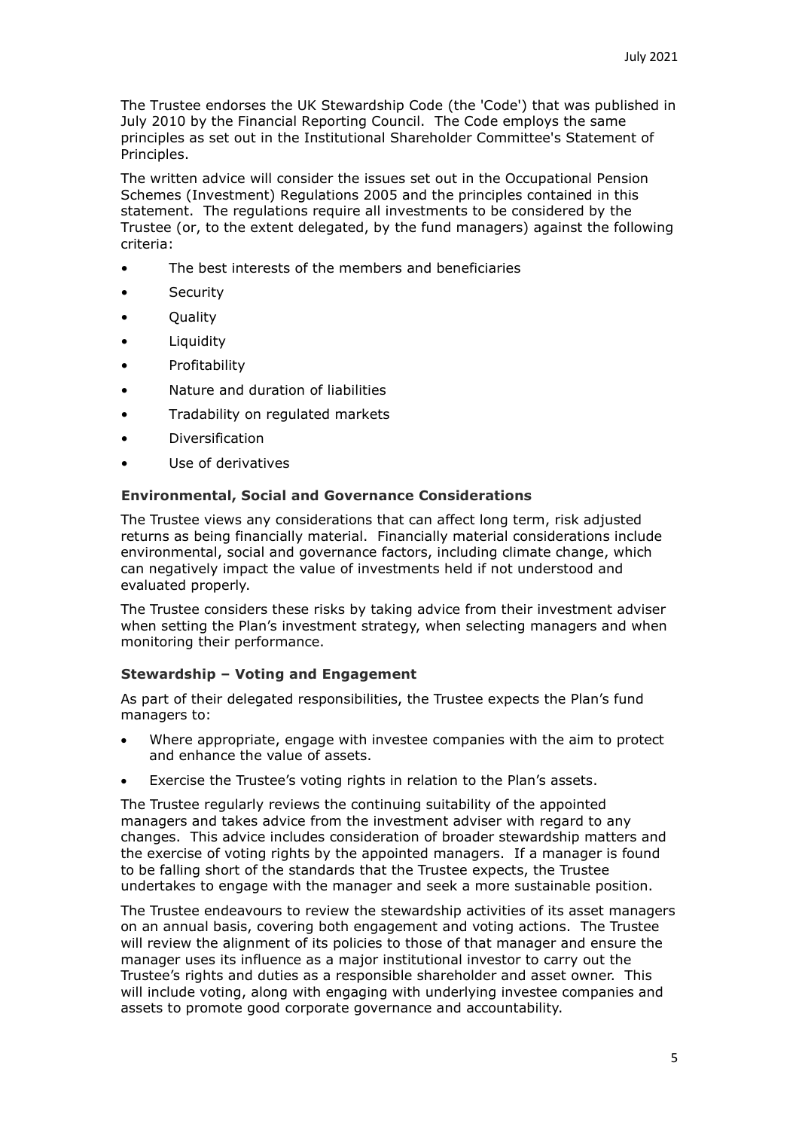The Trustee endorses the UK Stewardship Code (the 'Code') that was published in July 2010 by the Financial Reporting Council. The Code employs the same principles as set out in the Institutional Shareholder Committee's Statement of Principles.

The written advice will consider the issues set out in the Occupational Pension Schemes (Investment) Regulations 2005 and the principles contained in this statement. The regulations require all investments to be considered by the Trustee (or, to the extent delegated, by the fund managers) against the following criteria:

- The best interests of the members and beneficiaries
- Security
- Quality
- Liquidity
- **Profitability**
- Nature and duration of liabilities
- Tradability on regulated markets
- Diversification
- Use of derivatives

#### **Environmental, Social and Governance Considerations**

The Trustee views any considerations that can affect long term, risk adjusted returns as being financially material. Financially material considerations include environmental, social and governance factors, including climate change, which can negatively impact the value of investments held if not understood and evaluated properly.

The Trustee considers these risks by taking advice from their investment adviser when setting the Plan's investment strategy, when selecting managers and when monitoring their performance.

#### **Stewardship – Voting and Engagement**

As part of their delegated responsibilities, the Trustee expects the Plan's fund managers to:

- Where appropriate, engage with investee companies with the aim to protect and enhance the value of assets.
- Exercise the Trustee's voting rights in relation to the Plan's assets.

The Trustee regularly reviews the continuing suitability of the appointed managers and takes advice from the investment adviser with regard to any changes. This advice includes consideration of broader stewardship matters and the exercise of voting rights by the appointed managers. If a manager is found to be falling short of the standards that the Trustee expects, the Trustee undertakes to engage with the manager and seek a more sustainable position.

The Trustee endeavours to review the stewardship activities of its asset managers on an annual basis, covering both engagement and voting actions. The Trustee will review the alignment of its policies to those of that manager and ensure the manager uses its influence as a major institutional investor to carry out the Trustee's rights and duties as a responsible shareholder and asset owner. This will include voting, along with engaging with underlying investee companies and assets to promote good corporate governance and accountability.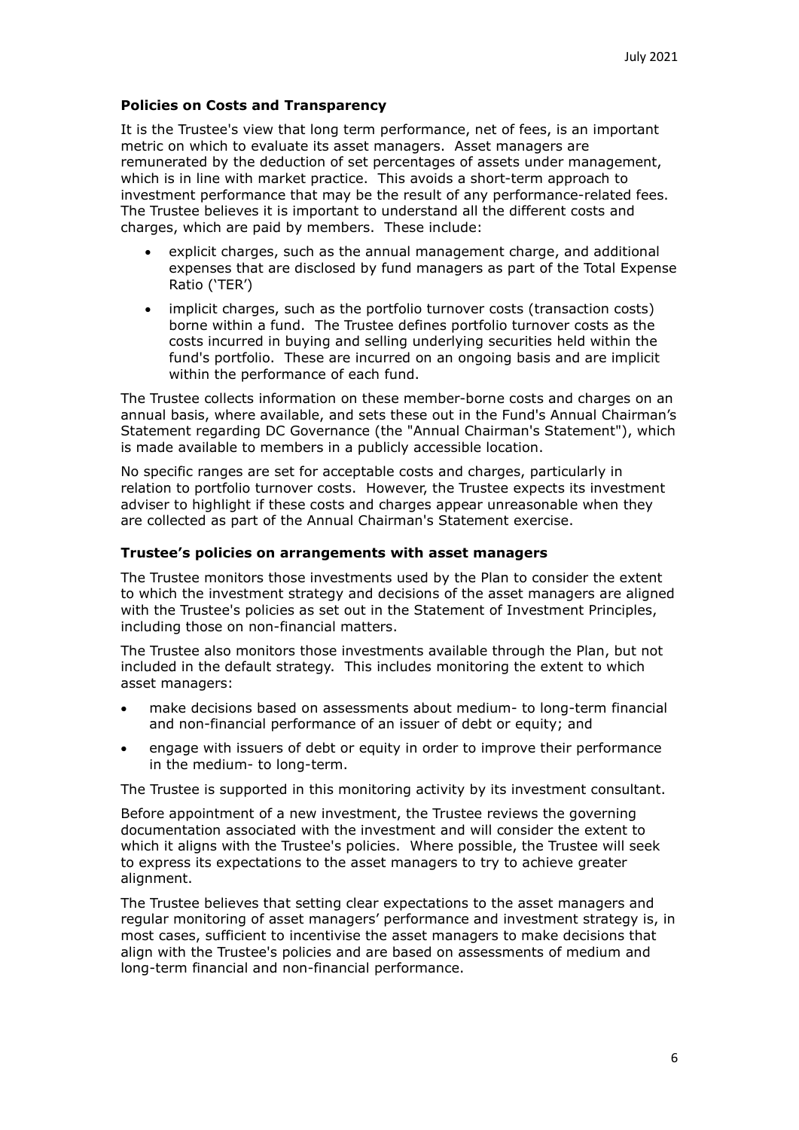## **Policies on Costs and Transparency**

It is the Trustee's view that long term performance, net of fees, is an important metric on which to evaluate its asset managers. Asset managers are remunerated by the deduction of set percentages of assets under management, which is in line with market practice. This avoids a short-term approach to investment performance that may be the result of any performance-related fees. The Trustee believes it is important to understand all the different costs and charges, which are paid by members. These include:

- explicit charges, such as the annual management charge, and additional expenses that are disclosed by fund managers as part of the Total Expense Ratio ('TER')
- implicit charges, such as the portfolio turnover costs (transaction costs) borne within a fund. The Trustee defines portfolio turnover costs as the costs incurred in buying and selling underlying securities held within the fund's portfolio. These are incurred on an ongoing basis and are implicit within the performance of each fund.

The Trustee collects information on these member-borne costs and charges on an annual basis, where available, and sets these out in the Fund's Annual Chairman's Statement regarding DC Governance (the "Annual Chairman's Statement"), which is made available to members in a publicly accessible location.

No specific ranges are set for acceptable costs and charges, particularly in relation to portfolio turnover costs. However, the Trustee expects its investment adviser to highlight if these costs and charges appear unreasonable when they are collected as part of the Annual Chairman's Statement exercise.

#### **Trustee's policies on arrangements with asset managers**

The Trustee monitors those investments used by the Plan to consider the extent to which the investment strategy and decisions of the asset managers are aligned with the Trustee's policies as set out in the Statement of Investment Principles, including those on non-financial matters.

The Trustee also monitors those investments available through the Plan, but not included in the default strategy. This includes monitoring the extent to which asset managers:

- make decisions based on assessments about medium- to long-term financial and non-financial performance of an issuer of debt or equity; and
- engage with issuers of debt or equity in order to improve their performance in the medium- to long-term.

The Trustee is supported in this monitoring activity by its investment consultant.

Before appointment of a new investment, the Trustee reviews the governing documentation associated with the investment and will consider the extent to which it aligns with the Trustee's policies. Where possible, the Trustee will seek to express its expectations to the asset managers to try to achieve greater alignment.

The Trustee believes that setting clear expectations to the asset managers and regular monitoring of asset managers' performance and investment strategy is, in most cases, sufficient to incentivise the asset managers to make decisions that align with the Trustee's policies and are based on assessments of medium and long-term financial and non-financial performance.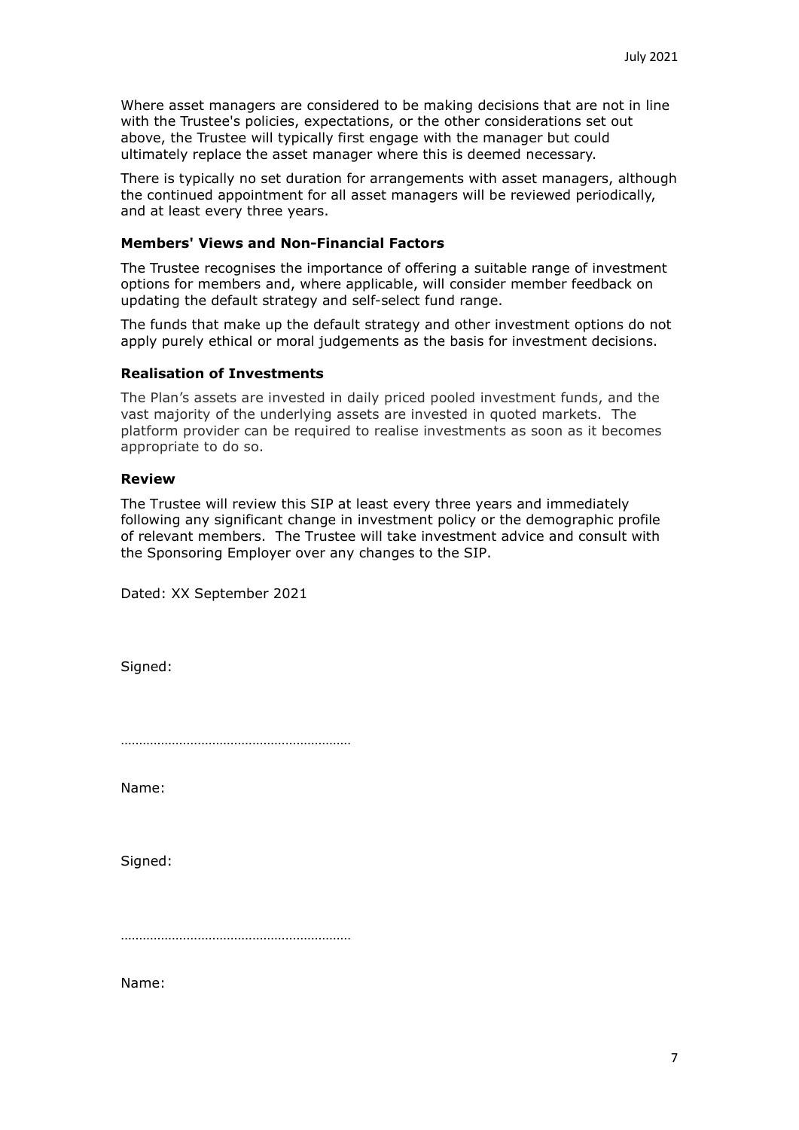Where asset managers are considered to be making decisions that are not in line with the Trustee's policies, expectations, or the other considerations set out above, the Trustee will typically first engage with the manager but could ultimately replace the asset manager where this is deemed necessary.

There is typically no set duration for arrangements with asset managers, although the continued appointment for all asset managers will be reviewed periodically, and at least every three years.

# **Members' Views and Non-Financial Factors**

The Trustee recognises the importance of offering a suitable range of investment options for members and, where applicable, will consider member feedback on updating the default strategy and self-select fund range.

The funds that make up the default strategy and other investment options do not apply purely ethical or moral judgements as the basis for investment decisions.

# **Realisation of Investments**

The Plan's assets are invested in daily priced pooled investment funds, and the vast majority of the underlying assets are invested in quoted markets. The platform provider can be required to realise investments as soon as it becomes appropriate to do so.

## **Review**

The Trustee will review this SIP at least every three years and immediately following any significant change in investment policy or the demographic profile of relevant members. The Trustee will take investment advice and consult with the Sponsoring Employer over any changes to the SIP.

Dated: XX September 2021

Signed:

………………………………………………………

Name:

Signed:

………………………………………………………

Name: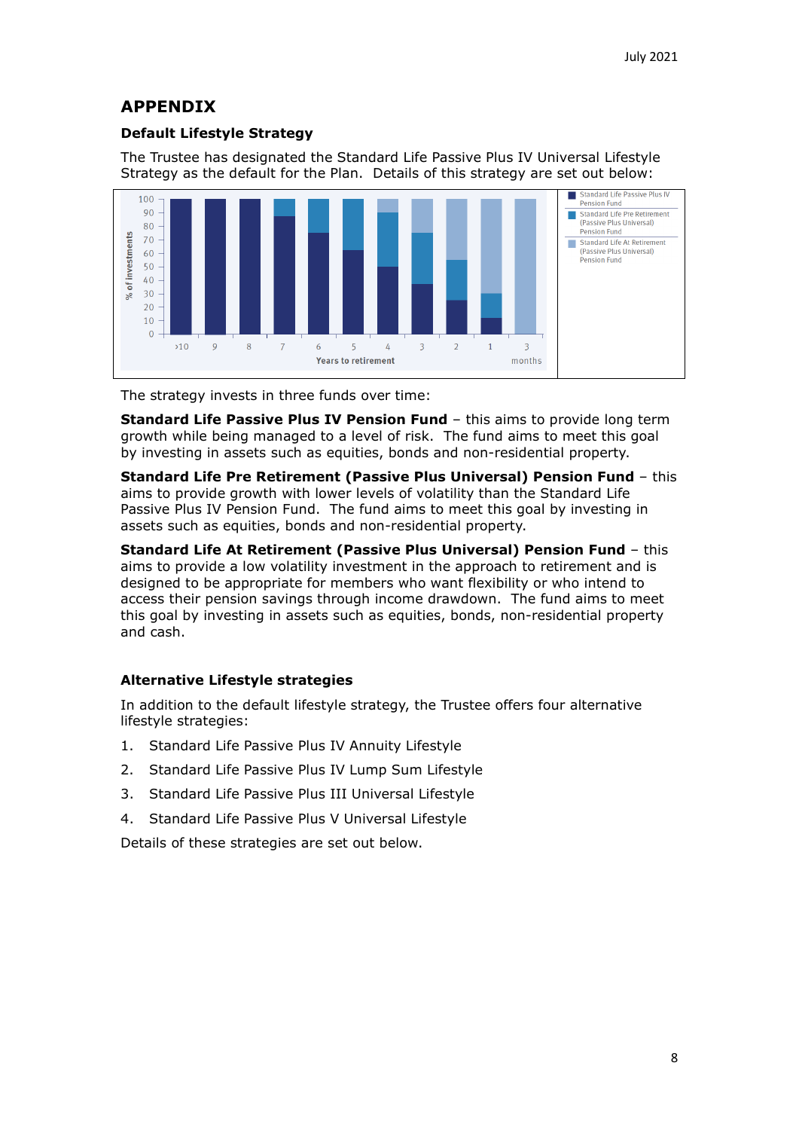# **APPENDIX**

# **Default Lifestyle Strategy**

The Trustee has designated the Standard Life Passive Plus IV Universal Lifestyle Strategy as the default for the Plan. Details of this strategy are set out below:



The strategy invests in three funds over time:

**Standard Life Passive Plus IV Pension Fund** – this aims to provide long term growth while being managed to a level of risk. The fund aims to meet this goal by investing in assets such as equities, bonds and non-residential property.

**Standard Life Pre Retirement (Passive Plus Universal) Pension Fund** – this aims to provide growth with lower levels of volatility than the Standard Life Passive Plus IV Pension Fund. The fund aims to meet this goal by investing in assets such as equities, bonds and non-residential property.

**Standard Life At Retirement (Passive Plus Universal) Pension Fund** – this aims to provide a low volatility investment in the approach to retirement and is designed to be appropriate for members who want flexibility or who intend to access their pension savings through income drawdown. The fund aims to meet this goal by investing in assets such as equities, bonds, non-residential property and cash.

# **Alternative Lifestyle strategies**

In addition to the default lifestyle strategy, the Trustee offers four alternative lifestyle strategies:

- 1. Standard Life Passive Plus IV Annuity Lifestyle
- 2. Standard Life Passive Plus IV Lump Sum Lifestyle
- 3. Standard Life Passive Plus III Universal Lifestyle
- 4. Standard Life Passive Plus V Universal Lifestyle

Details of these strategies are set out below.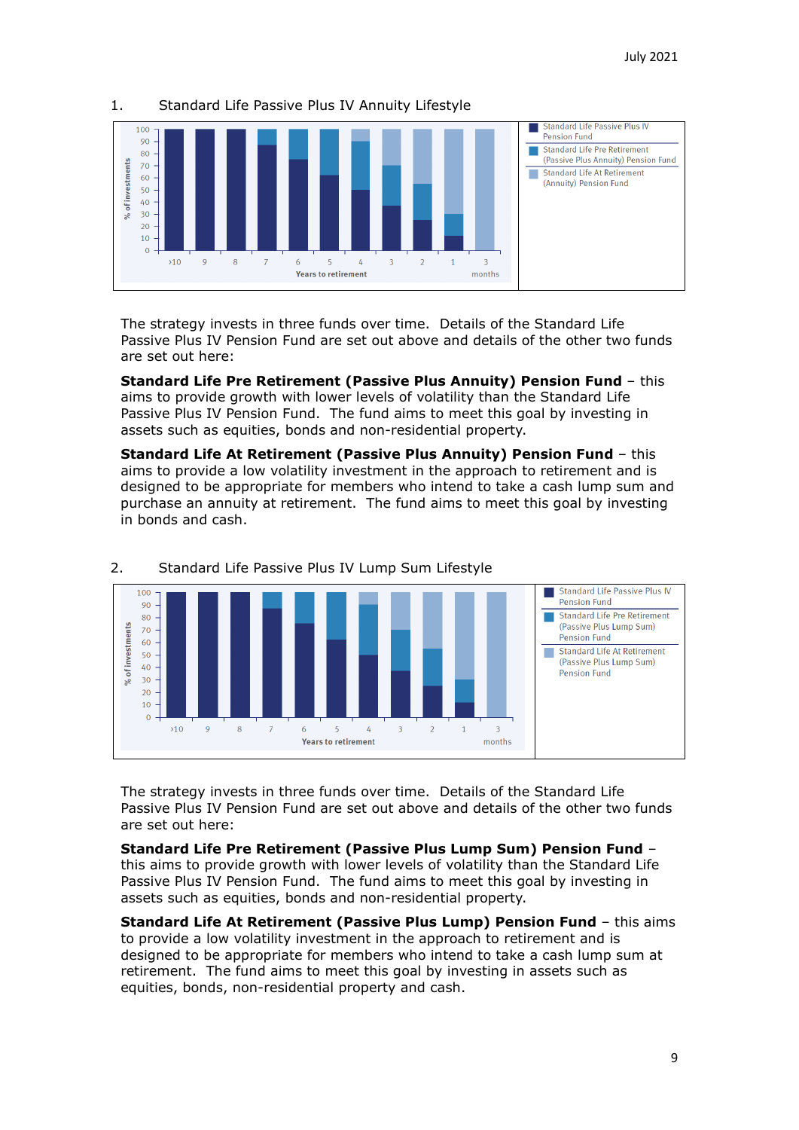

### 1. Standard Life Passive Plus IV Annuity Lifestyle

The strategy invests in three funds over time. Details of the Standard Life Passive Plus IV Pension Fund are set out above and details of the other two funds are set out here:

**Standard Life Pre Retirement (Passive Plus Annuity) Pension Fund** – this aims to provide growth with lower levels of volatility than the Standard Life Passive Plus IV Pension Fund. The fund aims to meet this goal by investing in assets such as equities, bonds and non-residential property.

**Standard Life At Retirement (Passive Plus Annuity) Pension Fund** – this aims to provide a low volatility investment in the approach to retirement and is designed to be appropriate for members who intend to take a cash lump sum and purchase an annuity at retirement. The fund aims to meet this goal by investing in bonds and cash.



### 2. Standard Life Passive Plus IV Lump Sum Lifestyle

The strategy invests in three funds over time. Details of the Standard Life Passive Plus IV Pension Fund are set out above and details of the other two funds are set out here:

**Standard Life Pre Retirement (Passive Plus Lump Sum) Pension Fund** – this aims to provide growth with lower levels of volatility than the Standard Life Passive Plus IV Pension Fund. The fund aims to meet this goal by investing in assets such as equities, bonds and non-residential property.

**Standard Life At Retirement (Passive Plus Lump) Pension Fund** – this aims to provide a low volatility investment in the approach to retirement and is designed to be appropriate for members who intend to take a cash lump sum at retirement. The fund aims to meet this goal by investing in assets such as equities, bonds, non-residential property and cash.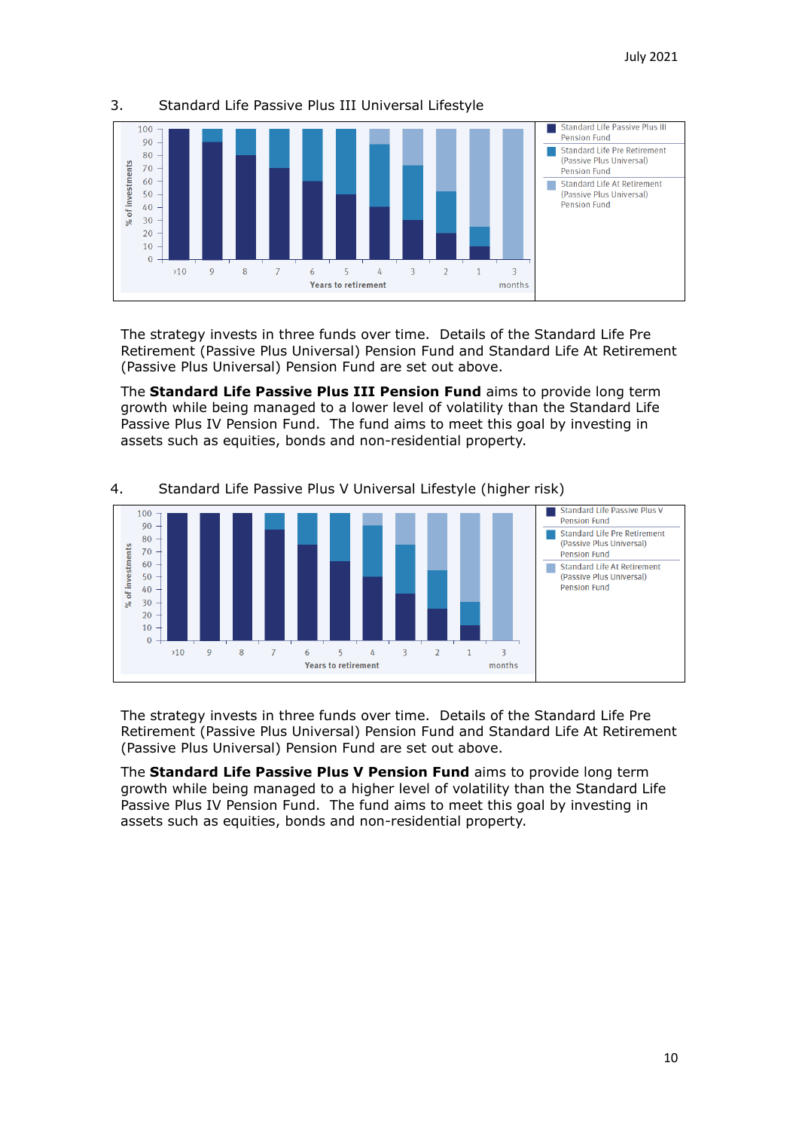

# 3. Standard Life Passive Plus III Universal Lifestyle

The strategy invests in three funds over time. Details of the Standard Life Pre Retirement (Passive Plus Universal) Pension Fund and Standard Life At Retirement (Passive Plus Universal) Pension Fund are set out above.

The **Standard Life Passive Plus III Pension Fund** aims to provide long term growth while being managed to a lower level of volatility than the Standard Life Passive Plus IV Pension Fund. The fund aims to meet this goal by investing in assets such as equities, bonds and non-residential property.



## 4. Standard Life Passive Plus V Universal Lifestyle (higher risk)

The strategy invests in three funds over time. Details of the Standard Life Pre Retirement (Passive Plus Universal) Pension Fund and Standard Life At Retirement (Passive Plus Universal) Pension Fund are set out above.

The **Standard Life Passive Plus V Pension Fund** aims to provide long term growth while being managed to a higher level of volatility than the Standard Life Passive Plus IV Pension Fund. The fund aims to meet this goal by investing in assets such as equities, bonds and non-residential property.